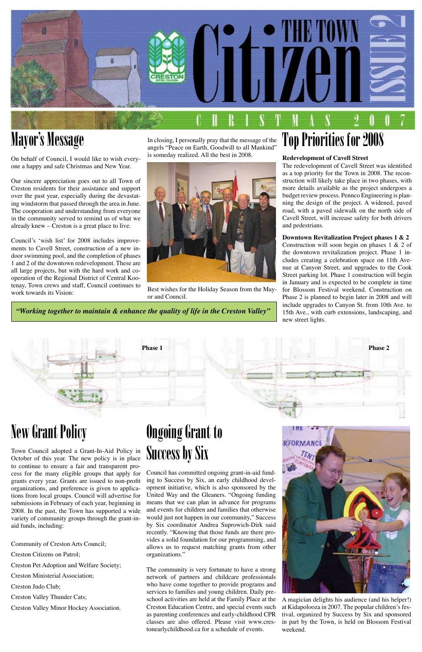

### Mayor's Message

On behalf of Council, I would like to wish everyone a happy and safe Christmas and New Year.

Our sincere appreciation goes out to all Town of Creston residents for their assistance and support over the past year, especially during the devastating windstorm that passed through the area in June. The cooperation and understanding from everyone in the community served to remind us of what we already knew – Creston is a great place to live.

Council's 'wish list' for 2008 includes improvements to Cavell Street, construction of a new indoor swimming pool, and the completion of phases 1 and 2 of the downtown redevelopment. These are all large projects, but with the hard work and cooperation of the Regional District of Central Kootenay, Town crews and staff, Council continues to work towards its Vision:

# Top Priorities for 2008

#### **Redevelopment of Cavell Street**

The redevelopment of Cavell Street was identified as a top priority for the Town in 2008. The reconstruction will likely take place in two phases, with more details available as the project undergoes a budget review process. Pennco Engineering is planning the design of the project. A widened, paved road, with a paved sidewalk on the north side of Cavell Street, will increase safety for both drivers and pedestrians.

#### **Downtown Revitalization Project phases 1 & 2**

Construction will soon begin on phases 1 & 2 of the downtown revitalization project. Phase 1 includes creating a celebration space on 11th Avenue at Canyon Street, and upgrades to the Cook Street parking lot. Phase 1 construction will begin in January and is expected to be complete in time for Blossom Festival weekend. Construction on Phase 2 is planned to begin later in 2008 and will include upgrades to Canyon St. from 10th Ave. to 15th Ave., with curb extensions, landscaping, and new street lights.

In closing, I personally pray that the message of the angels "Peace on Earth, Goodwill to all Mankind" is someday realized. All the best in 2008.



Best wishes for the Holiday Season from the Mayor and Council.

### New Grant Policy

Town Council adopted a Grant-In-Aid Policy in October of this year. The new policy is in place to continue to ensure a fair and transparent process for the many eligible groups that apply for grants every year. Grants are issued to non-profit organizations, and preference is given to applications from local groups. Council will advertise for submissions in February of each year, beginning in 2008. In the past, the Town has supported a wide variety of community groups through the grant-inaid funds, including:

Community of Creston Arts Council;

Creston Citizens on Patrol;

Creston Pet Adoption and Welfare Society;

Creston Ministerial Association;

Creston Judo Club;

Creston Valley Thunder Cats;

Creston Valley Minor Hockey Association.

A magician delights his audience (and his helper!) at Kidapolooza in 2007. The popular children's festival, organized by Success by Six and sponsored in part by the Town, is held on Blossom Festival weekend.

### Ongoing Grant to Success by Six

Council has committed ongoing grant-in-aid fund-



ing to Success by Six, an early childhood development initiative, which is also sponsored by the United Way and the Gleaners. "Ongoing funding means that we can plan in advance for programs and events for children and families that otherwise would just not happen in our community," Success by Six coordinator Andrea Suprowich-Dirk said recently. "Knowing that those funds are there provides a solid foundation for our programming, and allows us to request matching grants from other organizations."

The community is very fortunate to have a strong network of partners and childcare professionals who have come together to provide programs and services to families and young children. Daily preschool activities are held at the Family Place at the Creston Education Centre, and special events such as parenting conferences and early-childhood CPR classes are also offered. Please visit www.crestonearlychildhood.ca for a schedule of events.

*"Working together to maintain & enhance the quality of life in the Creston Valley"*